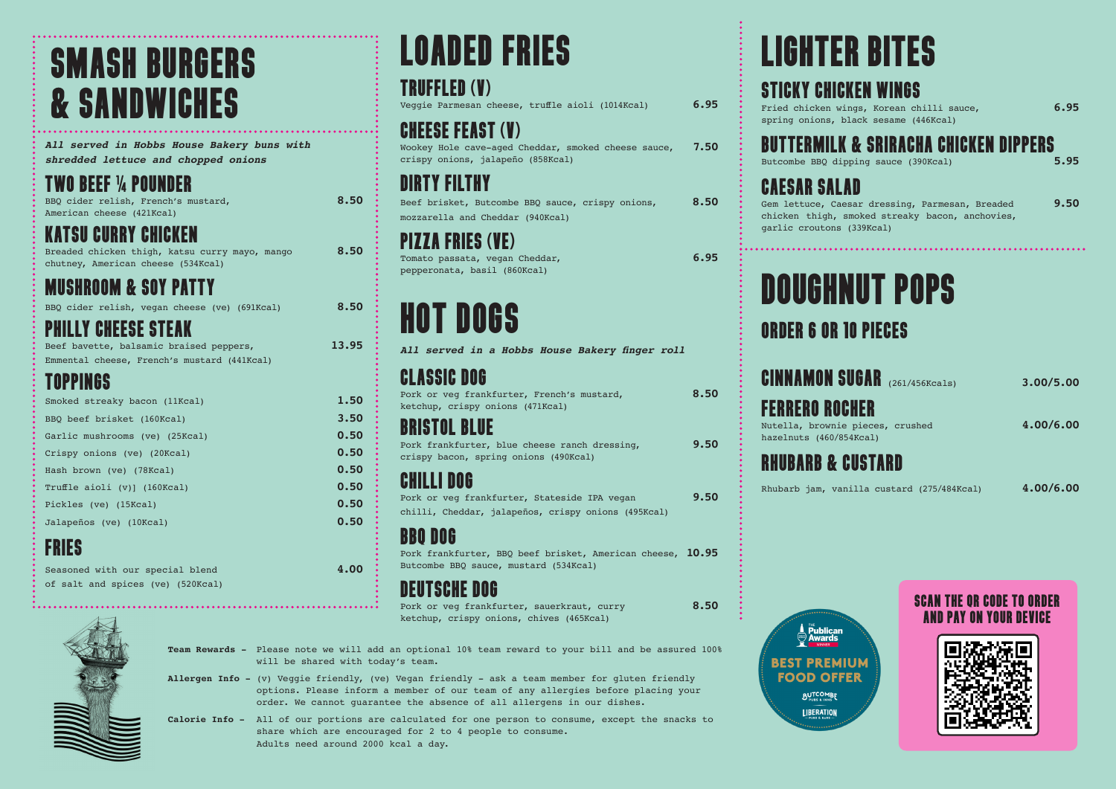# SMASH BURGERS & SANDWICHES

*All served in Hobbs House Bakery buns with shredded lettuce and chopped onions* 

# TWO BEEF ¼ POUNDER

BBQ cider relish, French's mustard, **8.50** American cheese (421Kcal)

## KATSU CURRY CHICKEN

Breaded chicken thigh, katsu curry mayo, mango **8.50** chutney, American cheese (534Kcal)

# MUSHROOM & SOY PATTY

BBQ cider relish, vegan cheese (ve) (691Kcal) **8.50**

### PHILLY CHEESE STEAK

Beef bavette, balsamic braised peppers, **13.95** Emmental cheese, French's mustard (441Kcal)

### TOPPINGS

| Smoked streaky bacon (11Kcal)  | 1.50 |
|--------------------------------|------|
| BBO beef brisket (160Kcal)     | 3.50 |
| Garlic mushrooms (ve) (25Kcal) | 0.50 |
| Crispy onions (ve) (20Kcal)    | 0.50 |
| Hash brown (ve) (78Kcal)       | 0.50 |
| Truffle aioli (v)] (160Kcal)   | 0.50 |
| Pickles (ve) (15Kcal)          | 0.50 |
| Jalapeños (ve) (10Kcal)        | 0.50 |
| -----                          |      |

# FRIES

Seasoned with our special blend **4.00** of salt and spices (ve) (520Kcal)

# LOADED FRIES

# TRUFFLED (V)

Veggie Parmesan cheese, truffle aioli (1014Kcal) **6.95**

### CHEESE FEAST (V)

Wookey Hole cave-aged Cheddar, smoked cheese sauce, **7.50** crispy onions, jalapeño (858Kcal)

# DIRTY FILTHY

Beef brisket, Butcombe BBQ sauce, crispy onions, **8.50** mozzarella and Cheddar (940Kcal)

# A FRIFS (VF)

Tomato passata, vegan Cheddar, **6.95** pepperonata, basil (860Kcal)

# HOT DOGS

*All served in a Hobbs House Bakery finger roll* 

# CLASSIC DOG

| Pork or veg frankfurter, French's mustard,<br>ketchup, crispy onions (471Kcal)                                                       | 8.50 |
|--------------------------------------------------------------------------------------------------------------------------------------|------|
| <b>BRISTOL BLUE</b><br>Pork frankfurter, blue cheese ranch dressing,<br>crispy bacon, spring onions (490Kcal)                        | 9.50 |
| <b>CHILLI DOG</b><br>Pork or veg frankfurter, Stateside IPA vegan<br>chilli, Cheddar, jalapeños, crispy onions (495Kcal)             | 9.50 |
| <b>BBO DOG</b><br>Pork frankfurter, BBO beef brisket, American cheese, 10.95<br>Butcombe BBO sauce, mustard (534Kcal)<br>THEAAHE BAA |      |

### DEUTSCHE DOG

Pork or veg frankfurter, sauerkraut, curry **8.50** ketchup, crispy onions, chives (465Kcal)



**Allergen Info -** (v) Veggie friendly, (ve) Vegan friendly - ask a team member for gluten friendly options. Please inform a member of our team of any allergies before placing your order. We cannot guarantee the absence of all allergens in our dishes.

**Calorie Info -** All of our portions are calculated for one person to consume, except the snacks to share which are encouraged for 2 to 4 people to consume. Adults need around 2000 kcal a day.

# LIGHTER BITES

### STICKY CHICKEN WINGS

Fried chicken wings, Korean chilli sauce, **6.95** spring onions, black sesame (446Kcal)

# **BUTTERMILK & SRIRACHA CHICKEN DIPPERS**

Butcombe BBQ dipping sauce (390Kcal) **5.95** 

# CAESAR SALAD

Gem lettuce, Caesar dressing, Parmesan, Breaded **9.50** chicken thigh, smoked streaky bacon, anchovies, garlic croutons (339Kcal)

# DOUGHNUT POPS

## ORDER 6 OR 10 PIECES

| <b>CINNAMON SUGAR</b> (261/456Kcals)                                                 | 3.00/5.00 |
|--------------------------------------------------------------------------------------|-----------|
| <b>FERRERO ROCHER</b><br>Nutella, brownie pieces, crushed<br>hazelnuts (460/854Kcal) | 4.00/6.00 |
| <b>RHUBARB &amp; CUSTARD</b>                                                         |           |
| Rhubarb jam, vanilla custard (275/484Kcal)                                           | 4.00/6.00 |